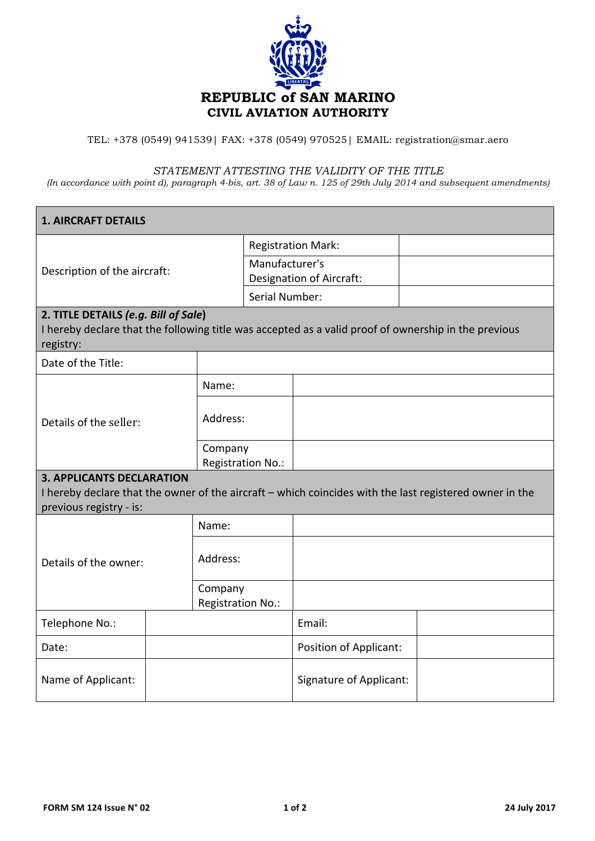

## TEL: +378 (0549) 941539| FAX: +378 (0549) 970525| EMAIL: registration@smar.aero

## *STATEMENT ATTESTING THE VALIDITY OF THE TITLE*

*(In accordance with point d), paragraph 4-bis, art. 38 of Law n. 125 of 29th July 2014 and subsequent amendments)*

| <b>1. AIRCRAFT DETAILS</b>                                                                                                                                             |                              |                                                   |                                |  |
|------------------------------------------------------------------------------------------------------------------------------------------------------------------------|------------------------------|---------------------------------------------------|--------------------------------|--|
| Description of the aircraft:                                                                                                                                           |                              | <b>Registration Mark:</b>                         |                                |  |
|                                                                                                                                                                        |                              | Manufacturer's                                    |                                |  |
|                                                                                                                                                                        |                              | Designation of Aircraft:<br><b>Serial Number:</b> |                                |  |
| 2. TITLE DETAILS (e.g. Bill of Sale)                                                                                                                                   |                              |                                                   |                                |  |
| I hereby declare that the following title was accepted as a valid proof of ownership in the previous<br>registry:                                                      |                              |                                                   |                                |  |
| Date of the Title:                                                                                                                                                     |                              |                                                   |                                |  |
|                                                                                                                                                                        | Name:                        |                                                   |                                |  |
| Details of the seller:                                                                                                                                                 | Address:                     |                                                   |                                |  |
|                                                                                                                                                                        | Company                      | Registration No.:                                 |                                |  |
| <b>3. APPLICANTS DECLARATION</b><br>I hereby declare that the owner of the aircraft - which coincides with the last registered owner in the<br>previous registry - is: |                              |                                                   |                                |  |
|                                                                                                                                                                        | Name:                        |                                                   |                                |  |
| Details of the owner:                                                                                                                                                  | Address:                     |                                                   |                                |  |
|                                                                                                                                                                        | Company<br>Registration No.: |                                                   |                                |  |
| Telephone No.:                                                                                                                                                         |                              |                                                   | Email:                         |  |
| Date:                                                                                                                                                                  |                              |                                                   | <b>Position of Applicant:</b>  |  |
| Name of Applicant:                                                                                                                                                     |                              |                                                   | <b>Signature of Applicant:</b> |  |